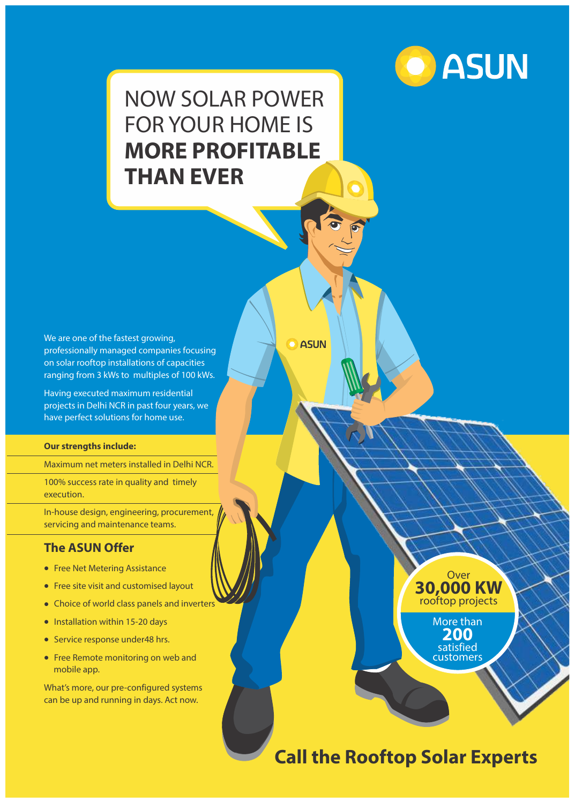

# NOW SOLAR POWER FOR YOUR HOME IS **MORE PROFITABLE THAN EVER**

**O** ASUN

We are one of the fastest growing, professionally managed companies focusing on solar rooftop installations of capacities ranging from 3 kWs to multiples of 100 kWs.

Having executed maximum residential projects in Delhi NCR in past four years, we have perfect solutions for home use.

#### **Our strengths include:**

Maximum net meters installed in Delhi NCR.

100% success rate in quality and timely execution.

In-house design, engineering, procurement, servicing and maintenance teams.

#### **The ASUN Offer**

- Free Net Metering Assistance
- Free site visit and customised layout
- Choice of world class panels and inverters
- $\bullet$  Installation within 15-20 days
- **•** Service response under48 hrs.
- Free Remote monitoring on web and mobile app.

What's more, our pre-configured systems can be up and running in days. Act now.



## **Call the Rooftop Solar Experts**